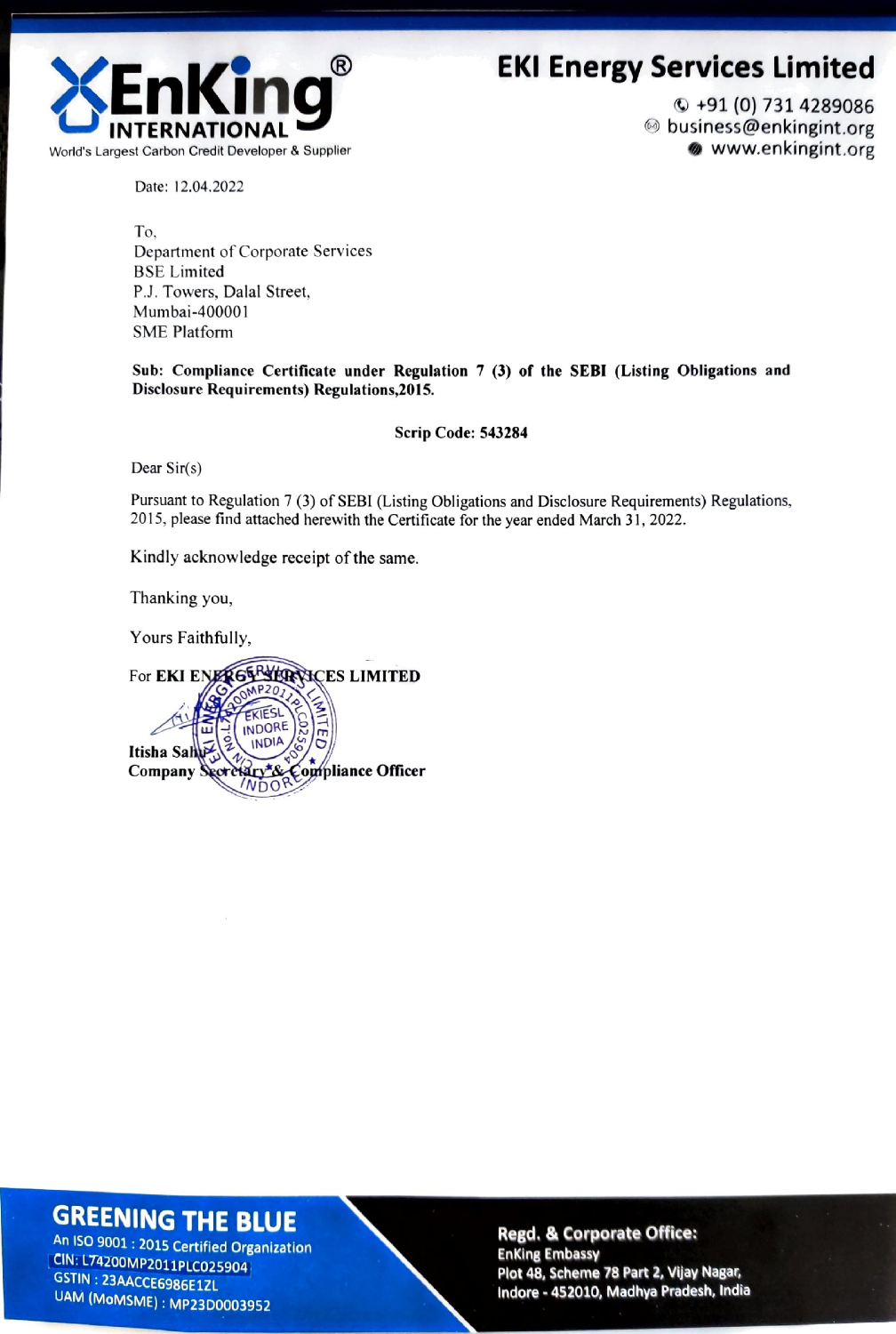



 $Q + 91(0)$  731 4289086 ◎ business@enkingint.org www.enkingint.org

Date: 12.04.2022

To, Department of Corporate Services **BSE** Limited P.J. Towers, Dalal Street, Mumbai-400001 **SME Platform** 

Sub: Compliance Certificate under Regulation 7 (3) of the SEBI (Listing Obligations and Disclosure Requirements) Regulations, 2015.

## Scrip Code: 543284

Dear  $Sir(s)$ 

Pursuant to Regulation 7 (3) of SEBI (Listing Obligations and Disclosure Requirements) Regulations, 2015, please find attached herewith the Certificate for the year ended March 31, 2022.

Kindly acknowledge receipt of the same.

Thanking you,

Yours Faithfully,

For EKI ENERGE STRANCES LIMITED EKIESI INDORE **INDIA** Itisha Sal Ary & Compliance Officer Company  $N\cap\Omega$ 

## **GREENING THE BLUE**

An ISO 9001 : 2015 Certified Organization CIN: L74200MP2011PLC025904 GSTIN: 23AACCE6986E1ZL UAM (MoMSME): MP23D0003952

**Regd. & Corporate Office: Enking Embassy** Plot 48, Scheme 78 Part 2, Vijay Nagar, Indore - 452010, Madhya Pradesh, India